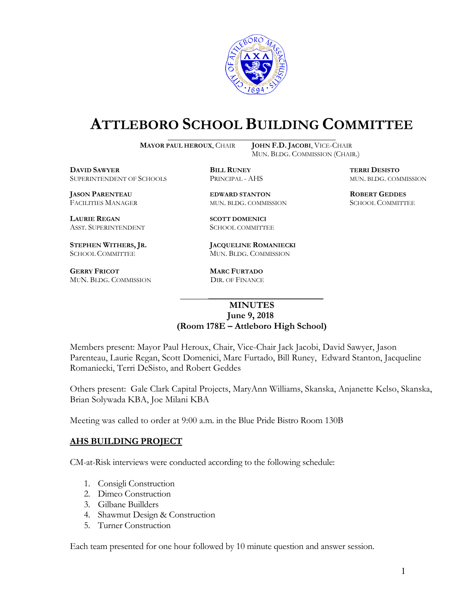

# **ATTLEBORO SCHOOL BUILDING COMMITTEE**

**MAYOR PAUL HEROUX**, CHAIR **JOHN F.D. JACOBI**, VICE-CHAIR

 $\overline{a}$ 

MUN. BLDG. COMMISSION (CHAIR.)

**DAVID SAWYER BILL RUNEY BILL RUNEY TERRI DESISTO** SUPERINTENDENT OF SCHOOLS PRINCIPAL - AHS MUN. BLDG. COMMISSION

**JASON PARENTEAU EDWARD STANTON ROBERT GEDDES** FACILITIES MANAGER MUN. BLDG. COMMISSION SCHOOL COMMITTEE

LAURIE REGAN SCOTT DOMENICI ASST. SUPERINTENDENT **SCHOOL COMMITTEE** 

**GERRY FRICOT MARC FURTADO** MUN. BLDG. COMMISSION DIR. OF FINANCE

**STEPHEN WITHERS, JR. JACQUELINE ROMANIECKI**  SCHOOL COMMITTEE MUN. BLDG. COMMISSION

#### **MINUTES June 9, 2018 (Room 178E – Attleboro High School)**

Members present: Mayor Paul Heroux, Chair, Vice-Chair Jack Jacobi, David Sawyer, Jason Parenteau, Laurie Regan, Scott Domenici, Marc Furtado, Bill Runey, Edward Stanton, Jacqueline Romaniecki, Terri DeSisto, and Robert Geddes

Others present: Gale Clark Capital Projects, MaryAnn Williams, Skanska, Anjanette Kelso, Skanska, Brian Solywada KBA, Joe Milani KBA

Meeting was called to order at 9:00 a.m. in the Blue Pride Bistro Room 130B

 $\mathcal{L}_\text{max}$  and  $\mathcal{L}_\text{max}$  and  $\mathcal{L}_\text{max}$  and  $\mathcal{L}_\text{max}$  and  $\mathcal{L}_\text{max}$ 

# **AHS BUILDING PROJECT**

CM-at-Risk interviews were conducted according to the following schedule:

- 1. Consigli Construction
- 2. Dimeo Construction
- 3. Gilbane Buillders
- 4. Shawmut Design & Construction
- 5. Turner Construction

Each team presented for one hour followed by 10 minute question and answer session.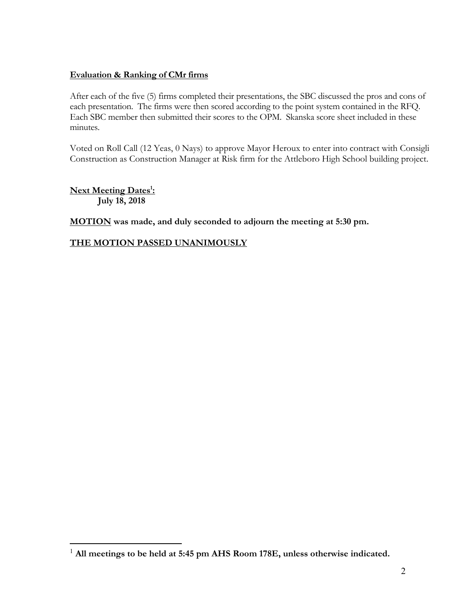## **Evaluation & Ranking of CMr firms**

After each of the five (5) firms completed their presentations, the SBC discussed the pros and cons of each presentation. The firms were then scored according to the point system contained in the RFQ. Each SBC member then submitted their scores to the OPM. Skanska score sheet included in these minutes.

Voted on Roll Call (12 Yeas, 0 Nays) to approve Mayor Heroux to enter into contract with Consigli Construction as Construction Manager at Risk firm for the Attleboro High School building project.

**Next Meeting Dates1 : July 18, 2018** 

 $\overline{a}$ 

**MOTION was made, and duly seconded to adjourn the meeting at 5:30 pm.** 

## **THE MOTION PASSED UNANIMOUSLY**

<sup>1</sup> **All meetings to be held at 5:45 pm AHS Room 178E, unless otherwise indicated.**